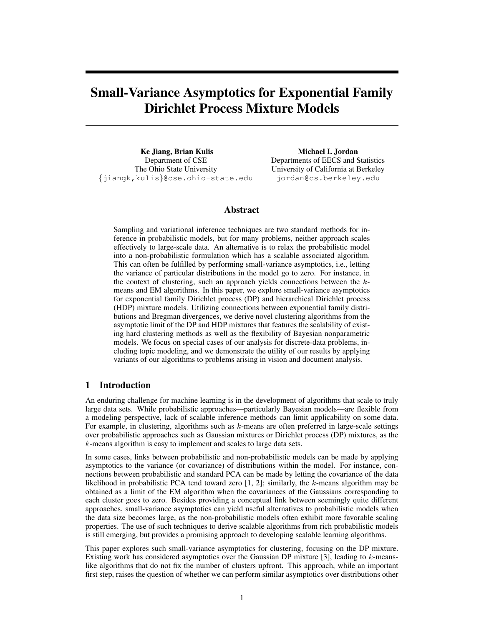# Small-Variance Asymptotics for Exponential Family Dirichlet Process Mixture Models

Ke Jiang, Brian Kulis Department of CSE The Ohio State University {jiangk,kulis}@cse.ohio-state.edu

Michael I. Jordan Departments of EECS and Statistics University of California at Berkeley jordan@cs.berkeley.edu

# Abstract

Sampling and variational inference techniques are two standard methods for inference in probabilistic models, but for many problems, neither approach scales effectively to large-scale data. An alternative is to relax the probabilistic model into a non-probabilistic formulation which has a scalable associated algorithm. This can often be fulfilled by performing small-variance asymptotics, i.e., letting the variance of particular distributions in the model go to zero. For instance, in the context of clustering, such an approach yields connections between the kmeans and EM algorithms. In this paper, we explore small-variance asymptotics for exponential family Dirichlet process (DP) and hierarchical Dirichlet process (HDP) mixture models. Utilizing connections between exponential family distributions and Bregman divergences, we derive novel clustering algorithms from the asymptotic limit of the DP and HDP mixtures that features the scalability of existing hard clustering methods as well as the flexibility of Bayesian nonparametric models. We focus on special cases of our analysis for discrete-data problems, including topic modeling, and we demonstrate the utility of our results by applying variants of our algorithms to problems arising in vision and document analysis.

# 1 Introduction

An enduring challenge for machine learning is in the development of algorithms that scale to truly large data sets. While probabilistic approaches—particularly Bayesian models—are flexible from a modeling perspective, lack of scalable inference methods can limit applicability on some data. For example, in clustering, algorithms such as  $k$ -means are often preferred in large-scale settings over probabilistic approaches such as Gaussian mixtures or Dirichlet process (DP) mixtures, as the  $k$ -means algorithm is easy to implement and scales to large data sets.

In some cases, links between probabilistic and non-probabilistic models can be made by applying asymptotics to the variance (or covariance) of distributions within the model. For instance, connections between probabilistic and standard PCA can be made by letting the covariance of the data likelihood in probabilistic PCA tend toward zero [1, 2]; similarly, the k-means algorithm may be obtained as a limit of the EM algorithm when the covariances of the Gaussians corresponding to each cluster goes to zero. Besides providing a conceptual link between seemingly quite different approaches, small-variance asymptotics can yield useful alternatives to probabilistic models when the data size becomes large, as the non-probabilistic models often exhibit more favorable scaling properties. The use of such techniques to derive scalable algorithms from rich probabilistic models is still emerging, but provides a promising approach to developing scalable learning algorithms.

This paper explores such small-variance asymptotics for clustering, focusing on the DP mixture. Existing work has considered asymptotics over the Gaussian DP mixture [3], leading to  $k$ -meanslike algorithms that do not fix the number of clusters upfront. This approach, while an important first step, raises the question of whether we can perform similar asymptotics over distributions other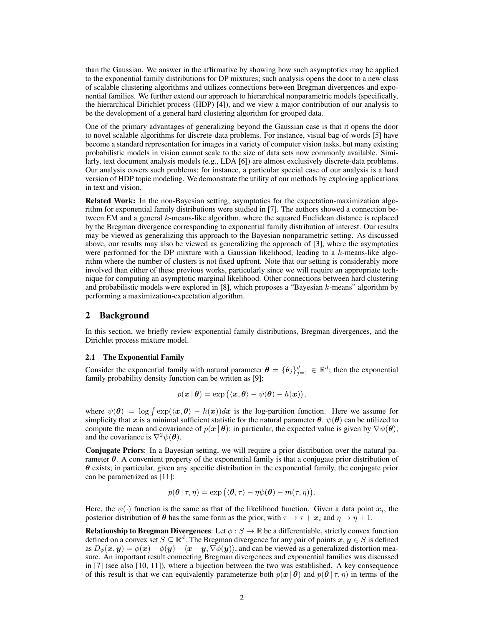than the Gaussian. We answer in the affirmative by showing how such asymptotics may be applied to the exponential family distributions for DP mixtures; such analysis opens the door to a new class of scalable clustering algorithms and utilizes connections between Bregman divergences and exponential families. We further extend our approach to hierarchical nonparametric models (specifically, the hierarchical Dirichlet process (HDP) [4]), and we view a major contribution of our analysis to be the development of a general hard clustering algorithm for grouped data.

One of the primary advantages of generalizing beyond the Gaussian case is that it opens the door to novel scalable algorithms for discrete-data problems. For instance, visual bag-of-words [5] have become a standard representation for images in a variety of computer vision tasks, but many existing probabilistic models in vision cannot scale to the size of data sets now commonly available. Similarly, text document analysis models (e.g., LDA [6]) are almost exclusively discrete-data problems. Our analysis covers such problems; for instance, a particular special case of our analysis is a hard version of HDP topic modeling. We demonstrate the utility of our methods by exploring applications in text and vision.

Related Work: In the non-Bayesian setting, asymptotics for the expectation-maximization algorithm for exponential family distributions were studied in [7]. The authors showed a connection between EM and a general k-means-like algorithm, where the squared Euclidean distance is replaced by the Bregman divergence corresponding to exponential family distribution of interest. Our results may be viewed as generalizing this approach to the Bayesian nonparametric setting. As discussed above, our results may also be viewed as generalizing the approach of [3], where the asymptotics were performed for the DP mixture with a Gaussian likelihood, leading to a  $k$ -means-like algorithm where the number of clusters is not fixed upfront. Note that our setting is considerably more involved than either of these previous works, particularly since we will require an appropriate technique for computing an asymptotic marginal likelihood. Other connections between hard clustering and probabilistic models were explored in [8], which proposes a "Bayesian k-means" algorithm by performing a maximization-expectation algorithm.

# 2 Background

In this section, we briefly review exponential family distributions, Bregman divergences, and the Dirichlet process mixture model.

### 2.1 The Exponential Family

Consider the exponential family with natural parameter  $\boldsymbol{\theta} = \{\theta_j\}_{j=1}^d \in \mathbb{R}^d$ ; then the exponential family probability density function can be written as [9]:

$$
p(\boldsymbol{x} \mid \boldsymbol{\theta}) = \exp\left(\langle \boldsymbol{x}, \boldsymbol{\theta} \rangle - \psi(\boldsymbol{\theta}) - h(\boldsymbol{x})\right),
$$

where  $\psi(\theta) = \log \int \exp(\langle x, \theta \rangle - h(x))dx$  is the log-partition function. Here we assume for simplicity that x is a minimal sufficient statistic for the natural parameter  $\theta$ .  $\psi(\theta)$  can be utilized to compute the mean and covariance of  $p(x | \theta)$ ; in particular, the expected value is given by  $\nabla \psi(\theta)$ , and the covariance is  $\nabla^2 \psi(\boldsymbol{\theta})$ .

Conjugate Priors: In a Bayesian setting, we will require a prior distribution over the natural parameter  $\theta$ . A convenient property of the exponential family is that a conjugate prior distribution of  $\theta$  exists; in particular, given any specific distribution in the exponential family, the conjugate prior can be parametrized as [11]:

$$
p(\boldsymbol{\theta} | \tau, \eta) = \exp \left( \langle \boldsymbol{\theta}, \tau \rangle - \eta \psi(\boldsymbol{\theta}) - m(\tau, \eta) \right).
$$

Here, the  $\psi(\cdot)$  function is the same as that of the likelihood function. Given a data point  $x_i$ , the posterior distribution of  $\theta$  has the same form as the prior, with  $\tau \to \tau + x_i$  and  $\eta \to \eta + 1$ .

**Relationship to Bregman Divergences:** Let  $\phi : S \to \mathbb{R}$  be a differentiable, strictly convex function defined on a convex set  $S \subseteq \mathbb{R}^d$ . The Bregman divergence for any pair of points  $x, y \in S$  is defined as  $D_{\phi}(\bm{x}, \bm{y}) = \phi(\bm{x}) - \phi(\bm{y}) - \langle \bm{x} - \bm{y}, \nabla \phi(\bm{y}) \rangle$ , and can be viewed as a generalized distortion measure. An important result connecting Bregman divergences and exponential families was discussed in [7] (see also [10, 11]), where a bijection between the two was established. A key consequence of this result is that we can equivalently parameterize both  $p(x | \theta)$  and  $p(\theta | \tau, \eta)$  in terms of the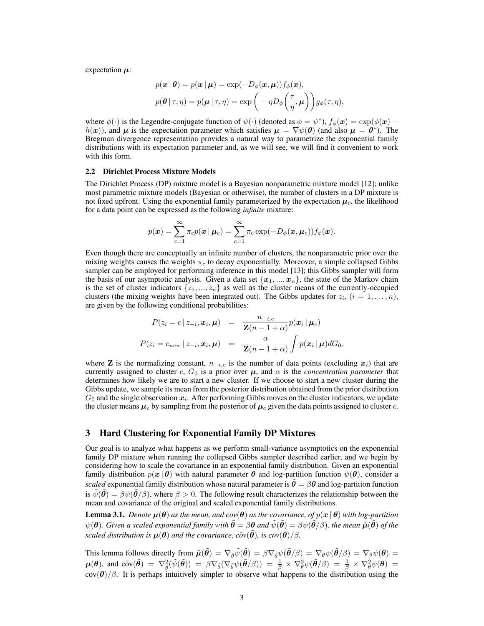expectation  $\mu$ :

$$
p(\boldsymbol{x} | \boldsymbol{\theta}) = p(\boldsymbol{x} | \boldsymbol{\mu}) = \exp(-D_{\phi}(\boldsymbol{x}, \boldsymbol{\mu})) f_{\phi}(\boldsymbol{x}),
$$
  

$$
p(\boldsymbol{\theta} | \boldsymbol{\tau}, \boldsymbol{\eta}) = p(\boldsymbol{\mu} | \boldsymbol{\tau}, \boldsymbol{\eta}) = \exp\left(-\eta D_{\phi}\left(\frac{\tau}{\eta}, \boldsymbol{\mu}\right)\right) g_{\phi}(\boldsymbol{\tau}, \boldsymbol{\eta}),
$$

where  $\phi(\cdot)$  is the Legendre-conjugate function of  $\psi(\cdot)$  (denoted as  $\phi = \psi^*$ ),  $f_{\phi}(\bm{x}) = \exp(\phi(\bm{x}) - \psi)$  $h(x)$ ), and  $\mu$  is the expectation parameter which satisfies  $\mu = \nabla \psi(\theta)$  (and also  $\mu = \theta^*$ ). The Bregman divergence representation provides a natural way to parametrize the exponential family distributions with its expectation parameter and, as we will see, we will find it convenient to work with this form.

#### 2.2 Dirichlet Process Mixture Models

The Dirichlet Process (DP) mixture model is a Bayesian nonparametric mixture model [12]; unlike most parametric mixture models (Bayesian or otherwise), the number of clusters in a DP mixture is not fixed upfront. Using the exponential family parameterized by the expectation  $\mu_c$ , the likelihood for a data point can be expressed as the following *infinite* mixture:

$$
p(\boldsymbol{x}) = \sum_{c=1}^{\infty} \pi_c p(\boldsymbol{x} \,|\, \boldsymbol{\mu}_c) = \sum_{c=1}^{\infty} \pi_c \exp(-D_{\phi}(\boldsymbol{x}, \boldsymbol{\mu}_c)) f_{\phi}(\boldsymbol{x}).
$$

Even though there are conceptually an infinite number of clusters, the nonparametric prior over the mixing weights causes the weights  $\pi_c$  to decay exponentially. Moreover, a simple collapsed Gibbs sampler can be employed for performing inference in this model [13]; this Gibbs sampler will form the basis of our asymptotic analysis. Given a data set  $\{x_1, ..., x_n\}$ , the state of the Markov chain is the set of cluster indicators  $\{z_1, ..., z_n\}$  as well as the cluster means of the currently-occupied clusters (the mixing weights have been integrated out). The Gibbs updates for  $z_i$ ,  $(i = 1, \ldots, n)$ , are given by the following conditional probabilities:

$$
P(z_i = c | z_{-i}, \boldsymbol{x}_i, \boldsymbol{\mu}) = \frac{n_{-i,c}}{\mathbf{Z}(n-1+\alpha)} p(\boldsymbol{x}_i | \boldsymbol{\mu}_c)
$$
  

$$
P(z_i = c_{new} | z_{-i}, \boldsymbol{x}_i, \boldsymbol{\mu}) = \frac{\alpha}{\mathbf{Z}(n-1+\alpha)} \int p(\boldsymbol{x}_i | \boldsymbol{\mu}) dG_0,
$$

where **Z** is the normalizing constant,  $n_{-i,c}$  is the number of data points (excluding  $x_i$ ) that are currently assigned to cluster c,  $G_0$  is a prior over  $\mu$ , and  $\alpha$  is the *concentration parameter* that determines how likely we are to start a new cluster. If we choose to start a new cluster during the Gibbs update, we sample its mean from the posterior distribution obtained from the prior distribution  $G_0$  and the single observation  $x_i$ . After performing Gibbs moves on the cluster indicators, we update the cluster means  $\mu_c$  by sampling from the posterior of  $\mu_c$  given the data points assigned to cluster c.

# 3 Hard Clustering for Exponential Family DP Mixtures

Our goal is to analyze what happens as we perform small-variance asymptotics on the exponential family DP mixture when running the collapsed Gibbs sampler described earlier, and we begin by considering how to scale the covariance in an exponential family distribution. Given an exponential family distribution  $p(x | \theta)$  with natural parameter  $\theta$  and log-partition function  $\psi(\theta)$ , consider a *scaled* exponential family distribution whose natural parameter is  $\hat{\theta} = \beta \theta$  and log-partition function is  $\psi(\theta) = \beta \psi(\theta/\beta)$ , where  $\beta > 0$ . The following result characterizes the relationship between the mean and covariance of the original and scaled exponential family distributions.

**Lemma 3.1.** *Denote*  $\mu(\theta)$  *as the mean, and cov*( $\theta$ ) *as the covariance, of*  $p(x | \theta)$  *with log-partition*  $\psi(\theta)$ *. Given a scaled exponential family with*  $\theta = \beta \theta$  *and*  $\psi(\theta) = \beta \psi(\theta/\beta)$ *, the mean*  $\tilde{\mu}(\theta)$  *of the scaled distribution is*  $\mu(\theta)$  *and the covariance,*  $\tilde{c}ov(\tilde{\theta})$ *, is cov* $(\theta)/\beta$ *.* 

This lemma follows directly from  $\tilde{\mu}(\tilde{\theta}) = \nabla_{\tilde{\theta}} \tilde{\psi}(\tilde{\theta}) = \beta \nabla_{\tilde{\theta}} \psi(\tilde{\theta}/\beta) = \nabla_{\theta} \psi(\tilde{\theta}/\beta) = \nabla_{\theta} \psi(\theta) =$  $\mu(\theta)$ , and cõv $(\tilde{\theta}) = \nabla_{\tilde{\theta}}^2(\tilde{\psi}(\tilde{\theta})) = \beta \nabla_{\tilde{\theta}}(\nabla_{\tilde{\theta}} \psi(\tilde{\theta}/\beta)) = \frac{1}{\beta} \times \nabla_{\theta}^2 \psi(\tilde{\theta}/\beta) = \frac{1}{\beta} \times \nabla_{\theta}^2 \psi(\theta) =$  $\cot(\theta)/\beta$ . It is perhaps intuitively simpler to observe what happens to the distribution using the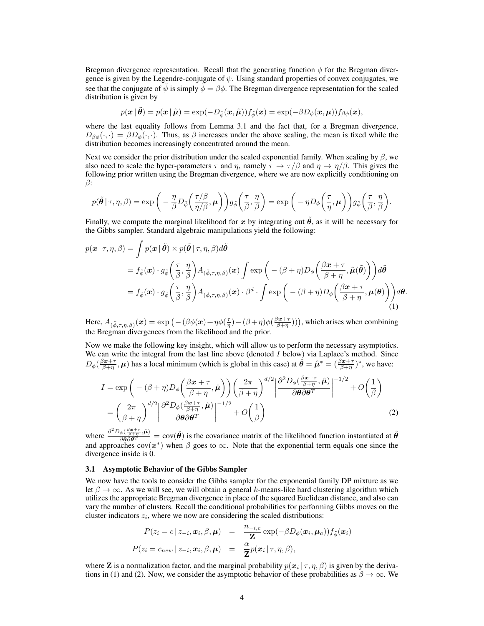Bregman divergence representation. Recall that the generating function  $\phi$  for the Bregman divergence is given by the Legendre-conjugate of  $\psi$ . Using standard properties of convex conjugates, we see that the conjugate of  $\tilde{\psi}$  is simply  $\phi = \beta \phi$ . The Bregman divergence representation for the scaled distribution is given by

$$
p(\boldsymbol{x} \,|\, \tilde{\boldsymbol{\theta}}) = p(\boldsymbol{x} \,|\, \tilde{\boldsymbol{\mu}}) = \exp(-D_{\tilde{\phi}}(\boldsymbol{x}, \tilde{\boldsymbol{\mu}}))f_{\tilde{\phi}}(\boldsymbol{x}) = \exp(-\beta D_{\phi}(\boldsymbol{x}, \boldsymbol{\mu}))f_{\beta \phi}(\boldsymbol{x}),
$$

where the last equality follows from Lemma 3.1 and the fact that, for a Bregman divergence,  $D_{\beta\phi}(\cdot,\cdot) = \beta D_{\phi}(\cdot,\cdot)$ . Thus, as  $\beta$  increases under the above scaling, the mean is fixed while the distribution becomes increasingly concentrated around the mean.

Next we consider the prior distribution under the scaled exponential family. When scaling by  $\beta$ , we also need to scale the hyper-parameters  $\tau$  and  $\eta$ , namely  $\tau \to \tau/\beta$  and  $\eta \to \eta/\beta$ . This gives the following prior written using the Bregman divergence, where we are now explicitly conditioning on β:

$$
p(\tilde{\boldsymbol{\theta}} \mid \tau, \eta, \beta) = \exp \bigg( -\frac{\eta}{\beta} D_{\tilde{\phi}} \bigg( \frac{\tau/\beta}{\eta/\beta}, \boldsymbol{\mu} \bigg) \bigg) g_{\tilde{\phi}} \bigg( \frac{\tau}{\beta}, \frac{\eta}{\beta} \bigg) = \exp \bigg( -\eta D_{\phi} \bigg( \frac{\tau}{\eta}, \boldsymbol{\mu} \bigg) \bigg) g_{\tilde{\phi}} \bigg( \frac{\tau}{\beta}, \frac{\eta}{\beta} \bigg).
$$

Finally, we compute the marginal likelihood for x by integrating out  $\hat{\theta}$ , as it will be necessary for the Gibbs sampler. Standard algebraic manipulations yield the following:

$$
p(\boldsymbol{x} \mid \tau, \eta, \beta) = \int p(\boldsymbol{x} \mid \tilde{\boldsymbol{\theta}}) \times p(\tilde{\boldsymbol{\theta}} \mid \tau, \eta, \beta) d\tilde{\boldsymbol{\theta}}
$$
  
=  $f_{\tilde{\phi}}(\boldsymbol{x}) \cdot g_{\tilde{\phi}}\left(\frac{\tau}{\beta}, \frac{\eta}{\beta}\right) A_{(\tilde{\phi}, \tau, \eta, \beta)}(\boldsymbol{x}) \int \exp\left(-(\beta + \eta) D_{\phi}\left(\frac{\beta \boldsymbol{x} + \tau}{\beta + \eta}, \tilde{\boldsymbol{\mu}}(\tilde{\boldsymbol{\theta}})\right)\right) d\tilde{\boldsymbol{\theta}}$   
=  $f_{\tilde{\phi}}(\boldsymbol{x}) \cdot g_{\tilde{\phi}}\left(\frac{\tau}{\beta}, \frac{\eta}{\beta}\right) A_{(\tilde{\phi}, \tau, \eta, \beta)}(\boldsymbol{x}) \cdot \beta^d \cdot \int \exp\left(-(\beta + \eta) D_{\phi}\left(\frac{\beta \boldsymbol{x} + \tau}{\beta + \eta}, \boldsymbol{\mu}(\boldsymbol{\theta})\right)\right) d\boldsymbol{\theta}.$  (1)

Here,  $A_{(\tilde{\phi},\tau,\eta,\beta)}(x)=\exp\big(-(\beta\phi(x)+\eta\phi(\frac{\tau}{\eta})-(\beta+\eta)\phi(\frac{\beta x+\tau}{\beta+\eta})\big)\big)$ , which arises when combining the Bregman divergences from the likelihood and the prior.

Now we make the following key insight, which will allow us to perform the necessary asymptotics. We can write the integral from the last line above (denoted  $I$  below) via Laplace's method. Since  $D_{\phi}(\frac{\beta x + \tau}{\beta + \eta}, \mu)$  has a local minimum (which is global in this case) at  $\hat{\theta} = \hat{\mu}^* = (\frac{\beta x + \tau}{\beta + \eta})^*$ , we have:

$$
I = \exp\left(-(\beta + \eta)D_{\phi}\left(\frac{\beta x + \tau}{\beta + \eta}, \hat{\mu}\right)\right)\left(\frac{2\pi}{\beta + \eta}\right)^{d/2} \left|\frac{\partial^2 D_{\phi}\left(\frac{\beta x + \tau}{\beta + \eta}, \hat{\mu}\right)}{\partial \theta \partial \theta^T}\right|^{-1/2} + O\left(\frac{1}{\beta}\right)
$$

$$
= \left(\frac{2\pi}{\beta + \eta}\right)^{d/2} \left|\frac{\partial^2 D_{\phi}\left(\frac{\beta x + \tau}{\beta + \eta}, \hat{\mu}\right)}{\partial \theta \partial \theta^T}\right|^{-1/2} + O\left(\frac{1}{\beta}\right)
$$
(2)

where  $\frac{\partial^2 D_{\phi}(\frac{\beta x + \tau}{\beta + \eta}, \hat{\mu})}{\partial \theta \partial \theta^T} = \text{cov}(\hat{\theta})$  is the covariance matrix of the likelihood function instantiated at  $\hat{\theta}$ and approaches  $cov(x^*)$  when  $\beta$  goes to  $\infty$ . Note that the exponential term equals one since the divergence inside is 0.

#### 3.1 Asymptotic Behavior of the Gibbs Sampler

We now have the tools to consider the Gibbs sampler for the exponential family DP mixture as we let  $\beta \to \infty$ . As we will see, we will obtain a general k-means-like hard clustering algorithm which utilizes the appropriate Bregman divergence in place of the squared Euclidean distance, and also can vary the number of clusters. Recall the conditional probabilities for performing Gibbs moves on the cluster indicators  $z_i$ , where we now are considering the scaled distributions:

$$
P(z_i = c | z_{-i}, \boldsymbol{x}_i, \beta, \boldsymbol{\mu}) = \frac{n_{-i,c}}{\mathbf{Z}} \exp(-\beta D_{\phi}(\boldsymbol{x}_i, \boldsymbol{\mu_c})) f_{\tilde{\phi}}(\boldsymbol{x}_i)
$$
  

$$
P(z_i = c_{new} | z_{-i}, \boldsymbol{x}_i, \beta, \boldsymbol{\mu}) = \frac{\alpha}{\mathbf{Z}} p(\boldsymbol{x}_i | \tau, \eta, \beta),
$$

where **Z** is a normalization factor, and the marginal probability  $p(x_i | \tau, \eta, \beta)$  is given by the derivations in (1) and (2). Now, we consider the asymptotic behavior of these probabilities as  $\beta \to \infty$ . We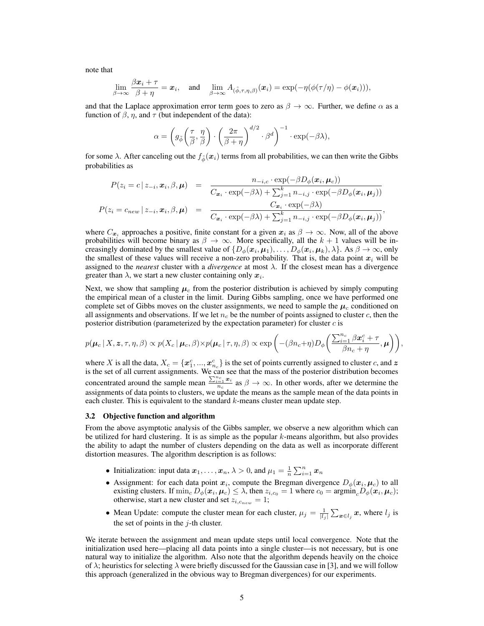note that

$$
\lim_{\beta \to \infty} \frac{\beta \boldsymbol{x}_i + \tau}{\beta + \eta} = \boldsymbol{x}_i, \quad \text{and} \quad \lim_{\beta \to \infty} A_{(\tilde{\phi}, \tau, \eta, \beta)}(\boldsymbol{x}_i) = \exp(-\eta(\phi(\tau/\eta) - \phi(\boldsymbol{x}_i))),
$$

and that the Laplace approximation error term goes to zero as  $\beta \to \infty$ . Further, we define  $\alpha$  as a function of  $\beta$ ,  $\eta$ , and  $\tau$  (but independent of the data):

$$
\alpha = \left( g_{\tilde{\phi}}\left(\frac{\tau}{\beta}, \frac{\eta}{\beta}\right) \cdot \left(\frac{2\pi}{\beta + \eta}\right)^{d/2} \cdot \beta^d \right)^{-1} \cdot \exp(-\beta \lambda),
$$

for some  $\lambda$ . After canceling out the  $f_{\phi}(\mathbf{x}_i)$  terms from all probabilities, we can then write the Gibbs probabilities as

$$
P(z_i = c | z_{-i}, \mathbf{x}_i, \beta, \boldsymbol{\mu}) = \frac{n_{-i,c} \cdot \exp(-\beta D_{\phi}(\mathbf{x}_i, \boldsymbol{\mu}_c))}{C_{\mathbf{x}_i} \cdot \exp(-\beta \lambda) + \sum_{j=1}^k n_{-i,j} \cdot \exp(-\beta D_{\phi}(\mathbf{x}_i, \boldsymbol{\mu}_j))}
$$
  

$$
P(z_i = c_{new} | z_{-i}, \mathbf{x}_i, \beta, \boldsymbol{\mu}) = \frac{C_{\mathbf{x}_i} \cdot \exp(-\beta \lambda)}{C_{\mathbf{x}_i} \cdot \exp(-\beta \lambda) + \sum_{j=1}^k n_{-i,j} \cdot \exp(-\beta D_{\phi}(\mathbf{x}_i, \boldsymbol{\mu}_j))},
$$

where  $C_{x_i}$  approaches a positive, finite constant for a given  $x_i$  as  $\beta \to \infty$ . Now, all of the above probabilities will become binary as  $\beta \to \infty$ . More specifically, all the  $k + 1$  values will be increasingly dominated by the smallest value of  $\{D_{\phi}(\bm{x}_i,\bm{\mu}_1),\ldots,D_{\phi}(\bm{x}_i,\bm{\mu}_k),\lambda\}$ . As  $\beta\to\infty$ , only the smallest of these values will receive a non-zero probability. That is, the data point  $x_i$  will be assigned to the *nearest* cluster with a *divergence* at most λ. If the closest mean has a divergence greater than  $\lambda$ , we start a new cluster containing only  $x_i$ .

Next, we show that sampling  $\mu_c$  from the posterior distribution is achieved by simply computing the empirical mean of a cluster in the limit. During Gibbs sampling, once we have performed one complete set of Gibbs moves on the cluster assignments, we need to sample the  $\mu_c$  conditioned on all assignments and observations. If we let  $n_c$  be the number of points assigned to cluster c, then the posterior distribution (parameterized by the expectation parameter) for cluster  $c$  is

$$
p(\boldsymbol{\mu}_c | X, \boldsymbol{z}, \tau, \eta, \beta) \propto p(X_c | \boldsymbol{\mu}_c, \beta) \times p(\boldsymbol{\mu}_c | \tau, \eta, \beta) \propto \exp \left( -(\beta n_c + \eta) D_{\phi} \left( \frac{\sum_{i=1}^{n_c} \beta \boldsymbol{x}_i^c + \tau}{\beta n_c + \eta}, \boldsymbol{\mu} \right) \right),
$$

where X is all the data,  $X_c = \{x_1^c, ..., x_{n_c}^c\}$  is the set of points currently assigned to cluster c, and z is the set of all current assignments. We can see that the mass of the posterior distribution becomes concentrated around the sample mean  $\frac{\sum_{i=1}^{n_c} x_i}{n_c}$  as  $\beta \to \infty$ . In other words, after we determine the assignments of data points to clusters, we update the means as the sample mean of the data points in each cluster. This is equivalent to the standard  $k$ -means cluster mean update step.

#### 3.2 Objective function and algorithm

From the above asymptotic analysis of the Gibbs sampler, we observe a new algorithm which can be utilized for hard clustering. It is as simple as the popular  $k$ -means algorithm, but also provides the ability to adapt the number of clusters depending on the data as well as incorporate different distortion measures. The algorithm description is as follows:

- Initialization: input data  $x_1, \ldots, x_n, \lambda > 0$ , and  $\mu_1 = \frac{1}{n} \sum_{i=1}^n x_n$
- Assignment: for each data point  $x_i$ , compute the Bregman divergence  $D_{\phi}(x_i, \mu_c)$  to all existing clusters. If  $\min_c D_\phi(\bm{x}_i, \bm{\mu}_c) \le \lambda$ , then  $z_{i,c_0} = 1$  where  $c_0 = \text{argmin}_c D_\phi(\bm{x}_i, \bm{\mu}_c)$ ; otherwise, start a new cluster and set  $z_{i,c_{new}} = 1$ ;
- Mean Update: compute the cluster mean for each cluster,  $\mu_j = \frac{1}{|l_j|} \sum_{x \in l_j} x$ , where  $l_j$  is the set of points in the  $j$ -th cluster.

We iterate between the assignment and mean update steps until local convergence. Note that the initialization used here—placing all data points into a single cluster—is not necessary, but is one natural way to initialize the algorithm. Also note that the algorithm depends heavily on the choice of  $\lambda$ ; heuristics for selecting  $\lambda$  were briefly discussed for the Gaussian case in [3], and we will follow this approach (generalized in the obvious way to Bregman divergences) for our experiments.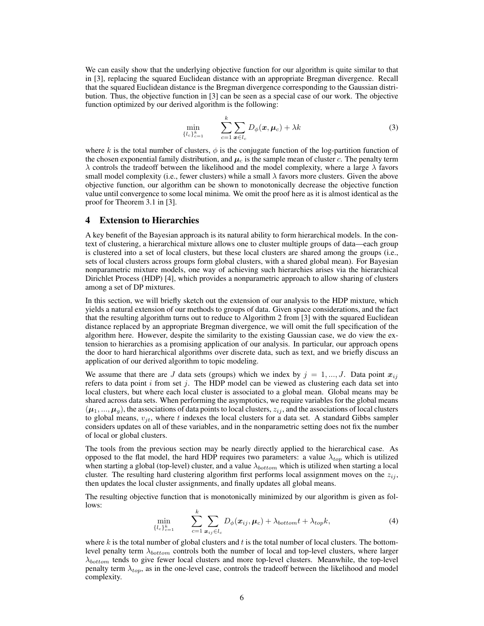We can easily show that the underlying objective function for our algorithm is quite similar to that in [3], replacing the squared Euclidean distance with an appropriate Bregman divergence. Recall that the squared Euclidean distance is the Bregman divergence corresponding to the Gaussian distribution. Thus, the objective function in [3] can be seen as a special case of our work. The objective function optimized by our derived algorithm is the following:

$$
\min_{\{l_c\}_{c=1}^k} \qquad \sum_{c=1}^k \sum_{\boldsymbol{x} \in l_c} D_{\phi}(\boldsymbol{x}, \boldsymbol{\mu}_c) + \lambda k \tag{3}
$$

where k is the total number of clusters,  $\phi$  is the conjugate function of the log-partition function of the chosen exponential family distribution, and  $\mu_c$  is the sample mean of cluster c. The penalty term  $\lambda$  controls the tradeoff between the likelihood and the model complexity, where a large  $\lambda$  favors small model complexity (i.e., fewer clusters) while a small  $\lambda$  favors more clusters. Given the above objective function, our algorithm can be shown to monotonically decrease the objective function value until convergence to some local minima. We omit the proof here as it is almost identical as the proof for Theorem 3.1 in [3].

## 4 Extension to Hierarchies

A key benefit of the Bayesian approach is its natural ability to form hierarchical models. In the context of clustering, a hierarchical mixture allows one to cluster multiple groups of data—each group is clustered into a set of local clusters, but these local clusters are shared among the groups (i.e., sets of local clusters across groups form global clusters, with a shared global mean). For Bayesian nonparametric mixture models, one way of achieving such hierarchies arises via the hierarchical Dirichlet Process (HDP) [4], which provides a nonparametric approach to allow sharing of clusters among a set of DP mixtures.

In this section, we will briefly sketch out the extension of our analysis to the HDP mixture, which yields a natural extension of our methods to groups of data. Given space considerations, and the fact that the resulting algorithm turns out to reduce to Algorithm 2 from [3] with the squared Euclidean distance replaced by an appropriate Bregman divergence, we will omit the full specification of the algorithm here. However, despite the similarity to the existing Gaussian case, we do view the extension to hierarchies as a promising application of our analysis. In particular, our approach opens the door to hard hierarchical algorithms over discrete data, such as text, and we briefly discuss an application of our derived algorithm to topic modeling.

We assume that there are J data sets (groups) which we index by  $j = 1, ..., J$ . Data point  $x_{ij}$ refers to data point  $i$  from set  $j$ . The HDP model can be viewed as clustering each data set into local clusters, but where each local cluster is associated to a global mean. Global means may be shared across data sets. When performing the asymptotics, we require variables for the global means  $(\mu_1, ..., \mu_q)$ , the associations of data points to local clusters,  $z_{ij}$ , and the associations of local clusters to global means,  $v_{it}$ , where t indexes the local clusters for a data set. A standard Gibbs sampler considers updates on all of these variables, and in the nonparametric setting does not fix the number of local or global clusters.

The tools from the previous section may be nearly directly applied to the hierarchical case. As opposed to the flat model, the hard HDP requires two parameters: a value  $\lambda_{top}$  which is utilized when starting a global (top-level) cluster, and a value  $\lambda_{bottom}$  which is utilized when starting a local cluster. The resulting hard clustering algorithm first performs local assignment moves on the  $z_{ij}$ , then updates the local cluster assignments, and finally updates all global means.

The resulting objective function that is monotonically minimized by our algorithm is given as follows:

$$
\min_{\{l_c\}_{c=1}^k} \qquad \sum_{c=1}^k \sum_{\boldsymbol{x}_{ij} \in l_c} D_{\phi}(\boldsymbol{x}_{ij}, \boldsymbol{\mu}_c) + \lambda_{bottom} t + \lambda_{top} k, \tag{4}
$$

where  $k$  is the total number of global clusters and  $t$  is the total number of local clusters. The bottomlevel penalty term  $\lambda_{bottom}$  controls both the number of local and top-level clusters, where larger  $\lambda_{bottom}$  tends to give fewer local clusters and more top-level clusters. Meanwhile, the top-level penalty term  $\lambda_{top}$ , as in the one-level case, controls the tradeoff between the likelihood and model complexity.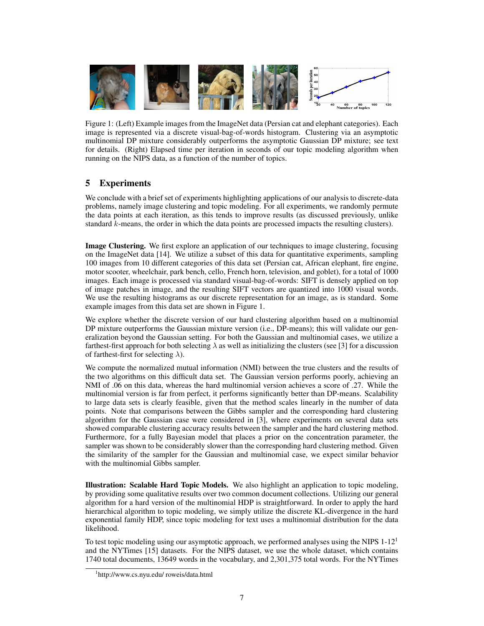

Figure 1: (Left) Example images from the ImageNet data (Persian cat and elephant categories). Each image is represented via a discrete visual-bag-of-words histogram. Clustering via an asymptotic multinomial DP mixture considerably outperforms the asymptotic Gaussian DP mixture; see text for details. (Right) Elapsed time per iteration in seconds of our topic modeling algorithm when running on the NIPS data, as a function of the number of topics.

# 5 Experiments

We conclude with a brief set of experiments highlighting applications of our analysis to discrete-data problems, namely image clustering and topic modeling. For all experiments, we randomly permute the data points at each iteration, as this tends to improve results (as discussed previously, unlike standard k-means, the order in which the data points are processed impacts the resulting clusters).

Image Clustering. We first explore an application of our techniques to image clustering, focusing on the ImageNet data [14]. We utilize a subset of this data for quantitative experiments, sampling 100 images from 10 different categories of this data set (Persian cat, African elephant, fire engine, motor scooter, wheelchair, park bench, cello, French horn, television, and goblet), for a total of 1000 images. Each image is processed via standard visual-bag-of-words: SIFT is densely applied on top of image patches in image, and the resulting SIFT vectors are quantized into 1000 visual words. We use the resulting histograms as our discrete representation for an image, as is standard. Some example images from this data set are shown in Figure 1.

We explore whether the discrete version of our hard clustering algorithm based on a multinomial DP mixture outperforms the Gaussian mixture version (i.e., DP-means); this will validate our generalization beyond the Gaussian setting. For both the Gaussian and multinomial cases, we utilize a farthest-first approach for both selecting  $\lambda$  as well as initializing the clusters (see [3] for a discussion of farthest-first for selecting  $\lambda$ ).

We compute the normalized mutual information (NMI) between the true clusters and the results of the two algorithms on this difficult data set. The Gaussian version performs poorly, achieving an NMI of .06 on this data, whereas the hard multinomial version achieves a score of .27. While the multinomial version is far from perfect, it performs significantly better than DP-means. Scalability to large data sets is clearly feasible, given that the method scales linearly in the number of data points. Note that comparisons between the Gibbs sampler and the corresponding hard clustering algorithm for the Gaussian case were considered in [3], where experiments on several data sets showed comparable clustering accuracy results between the sampler and the hard clustering method. Furthermore, for a fully Bayesian model that places a prior on the concentration parameter, the sampler was shown to be considerably slower than the corresponding hard clustering method. Given the similarity of the sampler for the Gaussian and multinomial case, we expect similar behavior with the multinomial Gibbs sampler.

Illustration: Scalable Hard Topic Models. We also highlight an application to topic modeling, by providing some qualitative results over two common document collections. Utilizing our general algorithm for a hard version of the multinomial HDP is straightforward. In order to apply the hard hierarchical algorithm to topic modeling, we simply utilize the discrete KL-divergence in the hard exponential family HDP, since topic modeling for text uses a multinomial distribution for the data likelihood.

To test topic modeling using our asymptotic approach, we performed analyses using the NIPS  $1-12<sup>1</sup>$ and the NYTimes [15] datasets. For the NIPS dataset, we use the whole dataset, which contains 1740 total documents, 13649 words in the vocabulary, and 2,301,375 total words. For the NYTimes

<sup>1</sup> http://www.cs.nyu.edu/ roweis/data.html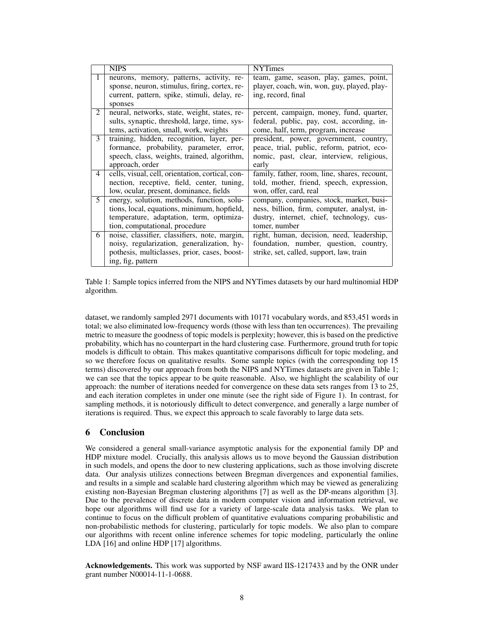|   | <b>NIPS</b>                                                                                                                                                             | <b>NYTimes</b>                                                                                                                                        |
|---|-------------------------------------------------------------------------------------------------------------------------------------------------------------------------|-------------------------------------------------------------------------------------------------------------------------------------------------------|
| 1 | neurons, memory, patterns, activity, re-<br>sponse, neuron, stimulus, firing, cortex, re-<br>current, pattern, spike, stimuli, delay, re-<br>sponses                    | team, game, season, play, games, point,<br>player, coach, win, won, guy, played, play-<br>ing, record, final                                          |
| 2 | neural, networks, state, weight, states, re-<br>sults, synaptic, threshold, large, time, sys-<br>tems, activation, small, work, weights                                 | percent, campaign, money, fund, quarter,<br>federal, public, pay, cost, according, in-<br>come, half, term, program, increase                         |
| 3 | training, hidden, recognition, layer, per-<br>formance, probability, parameter, error,<br>speech, class, weights, trained, algorithm,<br>approach, order                | president, power, government, country,<br>peace, trial, public, reform, patriot, eco-<br>nomic, past, clear, interview, religious,<br>early           |
| 4 | cells, visual, cell, orientation, cortical, con-<br>nection, receptive, field, center, tuning,<br>low, ocular, present, dominance, fields                               | family, father, room, line, shares, recount,<br>told, mother, friend, speech, expression,<br>won, offer, card, real                                   |
| 5 | energy, solution, methods, function, solu-<br>tions, local, equations, minimum, hopfield,<br>temperature, adaptation, term, optimiza-<br>tion, computational, procedure | company, companies, stock, market, busi-<br>ness, billion, firm, computer, analyst, in-<br>dustry, internet, chief, technology, cus-<br>tomer, number |
| 6 | noise, classifier, classifiers, note, margin,<br>noisy, regularization, generalization, hy-<br>pothesis, multiclasses, prior, cases, boost-<br>ing, fig, pattern        | right, human, decision, need, leadership,<br>foundation, number, question, country,<br>strike, set, called, support, law, train                       |

Table 1: Sample topics inferred from the NIPS and NYTimes datasets by our hard multinomial HDP algorithm.

dataset, we randomly sampled 2971 documents with 10171 vocabulary words, and 853,451 words in total; we also eliminated low-frequency words (those with less than ten occurrences). The prevailing metric to measure the goodness of topic models is perplexity; however, this is based on the predictive probability, which has no counterpart in the hard clustering case. Furthermore, ground truth for topic models is difficult to obtain. This makes quantitative comparisons difficult for topic modeling, and so we therefore focus on qualitative results. Some sample topics (with the corresponding top 15 terms) discovered by our approach from both the NIPS and NYTimes datasets are given in Table 1; we can see that the topics appear to be quite reasonable. Also, we highlight the scalability of our approach: the number of iterations needed for convergence on these data sets ranges from 13 to 25, and each iteration completes in under one minute (see the right side of Figure 1). In contrast, for sampling methods, it is notoriously difficult to detect convergence, and generally a large number of iterations is required. Thus, we expect this approach to scale favorably to large data sets.

# 6 Conclusion

We considered a general small-variance asymptotic analysis for the exponential family DP and HDP mixture model. Crucially, this analysis allows us to move beyond the Gaussian distribution in such models, and opens the door to new clustering applications, such as those involving discrete data. Our analysis utilizes connections between Bregman divergences and exponential families, and results in a simple and scalable hard clustering algorithm which may be viewed as generalizing existing non-Bayesian Bregman clustering algorithms [7] as well as the DP-means algorithm [3]. Due to the prevalence of discrete data in modern computer vision and information retrieval, we hope our algorithms will find use for a variety of large-scale data analysis tasks. We plan to continue to focus on the difficult problem of quantitative evaluations comparing probabilistic and non-probabilistic methods for clustering, particularly for topic models. We also plan to compare our algorithms with recent online inference schemes for topic modeling, particularly the online LDA [16] and online HDP [17] algorithms.

Acknowledgements. This work was supported by NSF award IIS-1217433 and by the ONR under grant number N00014-11-1-0688.